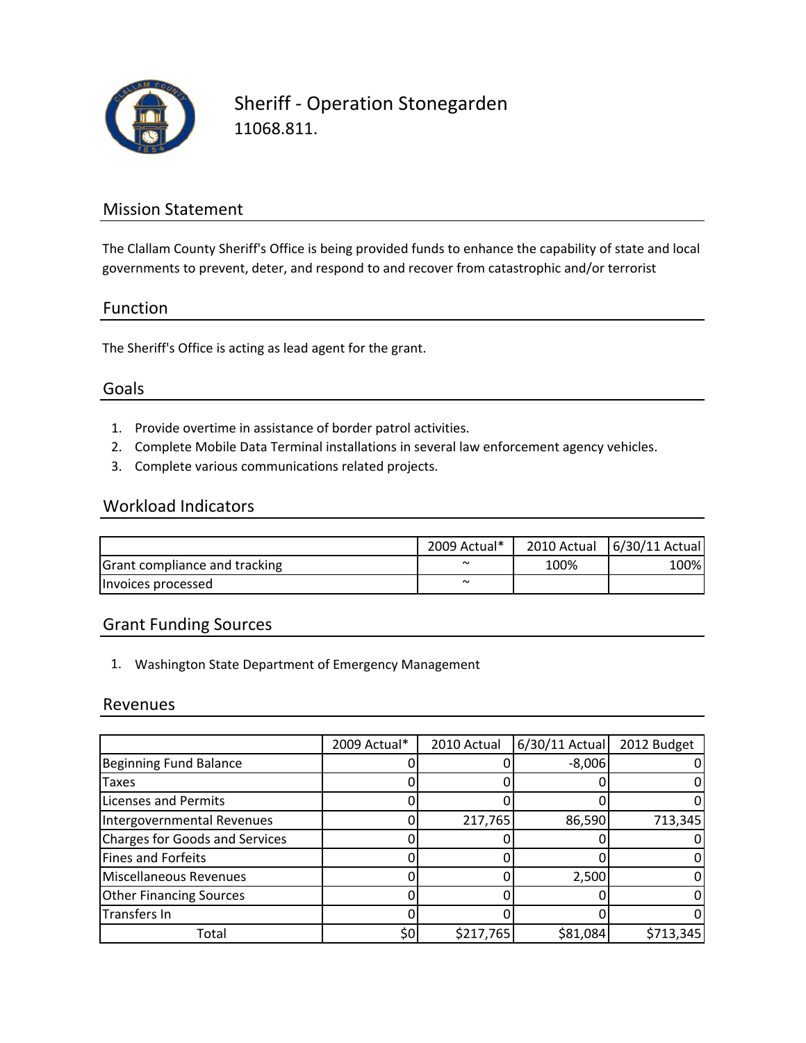

Sheriff ‐ Operation Stonegarden 11068.811.

## Mission Statement

The Clallam County Sheriff's Office is being provided funds to enhance the capability of state and local governments to prevent, deter, and respond to and recover from catastrophic and/or terrorist

## Function

The Sheriff's Office is acting as lead agent for the grant.

## Goals

- 1. Provide overtime in assistance of border patrol activities.
- 2. Complete Mobile Data Terminal installations in several law enforcement agency vehicles.
- 3. Complete various communications related projects.

#### Workload Indicators

|                               | 2009 Actual* |      | 2010 Actual   6/30/11 Actual |
|-------------------------------|--------------|------|------------------------------|
| Grant compliance and tracking | $\sim$       | 100% | 100%                         |
| Invoices processed            | $\sim$       |      |                              |

## Grant Funding Sources

1. Washington State Department of Emergency Management

#### Revenues

|                                       | 2009 Actual* | 2010 Actual | 6/30/11 Actual | 2012 Budget |
|---------------------------------------|--------------|-------------|----------------|-------------|
| <b>Beginning Fund Balance</b>         |              |             | $-8,006$       |             |
| <b>Taxes</b>                          |              |             |                |             |
| <b>Licenses and Permits</b>           |              |             |                |             |
| Intergovernmental Revenues            |              | 217,765     | 86,590         | 713,345     |
| <b>Charges for Goods and Services</b> |              |             |                |             |
| <b>Fines and Forfeits</b>             |              |             |                |             |
| <b>Miscellaneous Revenues</b>         |              |             | 2,500          |             |
| <b>Other Financing Sources</b>        |              |             |                |             |
| Transfers In                          |              |             |                |             |
| Total                                 | \$0          | \$217,765   | \$81,084       | \$713,345   |